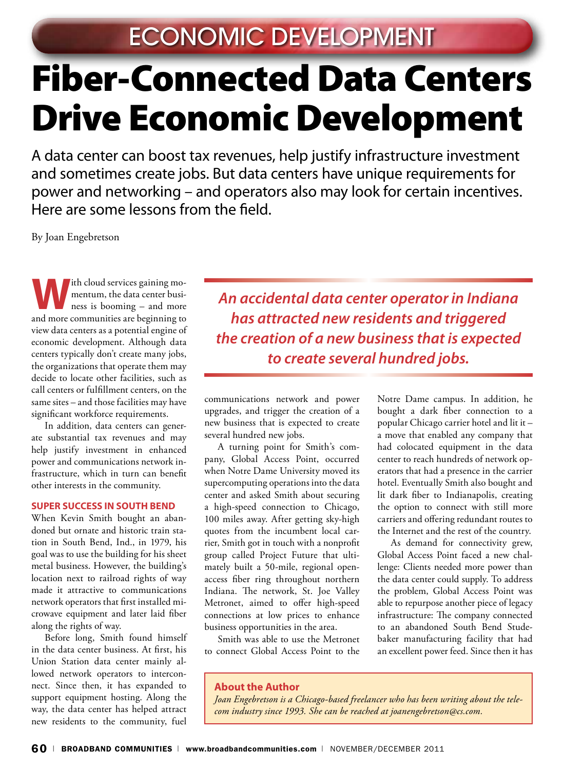# Fiber-Connected Data Centers Drive Economic Development

A data center can boost tax revenues, help justify infrastructure investment and sometimes create jobs. But data centers have unique requirements for power and networking – and operators also may look for certain incentives. Here are some lessons from the field.

By Joan Engebretson

**W**ith cloud services gaining momentum, the data center business is booming – and more and more communities are beginning to view data centers as a potential engine of economic development. Although data centers typically don't create many jobs, the organizations that operate them may decide to locate other facilities, such as call centers or fulfillment centers, on the same sites – and those facilities may have significant workforce requirements.

In addition, data centers can generate substantial tax revenues and may help justify investment in enhanced power and communications network infrastructure, which in turn can benefit other interests in the community.

#### **Super Success in South Bend**

When Kevin Smith bought an abandoned but ornate and historic train station in South Bend, Ind., in 1979, his goal was to use the building for his sheet metal business. However, the building's location next to railroad rights of way made it attractive to communications network operators that first installed microwave equipment and later laid fiber along the rights of way.

Before long, Smith found himself in the data center business. At first, his Union Station data center mainly allowed network operators to interconnect. Since then, it has expanded to support equipment hosting. Along the way, the data center has helped attract new residents to the community, fuel

*An accidental data center operator in Indiana has attracted new residents and triggered the creation of a new business that is expected to create several hundred jobs.*

communications network and power upgrades, and trigger the creation of a new business that is expected to create several hundred new jobs.

A turning point for Smith's company, Global Access Point, occurred when Notre Dame University moved its supercomputing operations into the data center and asked Smith about securing a high-speed connection to Chicago, 100 miles away. After getting sky-high quotes from the incumbent local carrier, Smith got in touch with a nonprofit group called Project Future that ultimately built a 50-mile, regional openaccess fiber ring throughout northern Indiana. The network, St. Joe Valley Metronet, aimed to offer high-speed connections at low prices to enhance business opportunities in the area.

Smith was able to use the Metronet to connect Global Access Point to the

Notre Dame campus. In addition, he bought a dark fiber connection to a popular Chicago carrier hotel and lit it – a move that enabled any company that had colocated equipment in the data center to reach hundreds of network operators that had a presence in the carrier hotel. Eventually Smith also bought and lit dark fiber to Indianapolis, creating the option to connect with still more carriers and offering redundant routes to the Internet and the rest of the country.

As demand for connectivity grew, Global Access Point faced a new challenge: Clients needed more power than the data center could supply. To address the problem, Global Access Point was able to repurpose another piece of legacy infrastructure: The company connected to an abandoned South Bend Studebaker manufacturing facility that had an excellent power feed. Since then it has

#### **About the Author**

*Joan Engebretson is a Chicago-based freelancer who has been writing about the telecom industry since 1993. She can be reached at joanengebretson@cs.com.*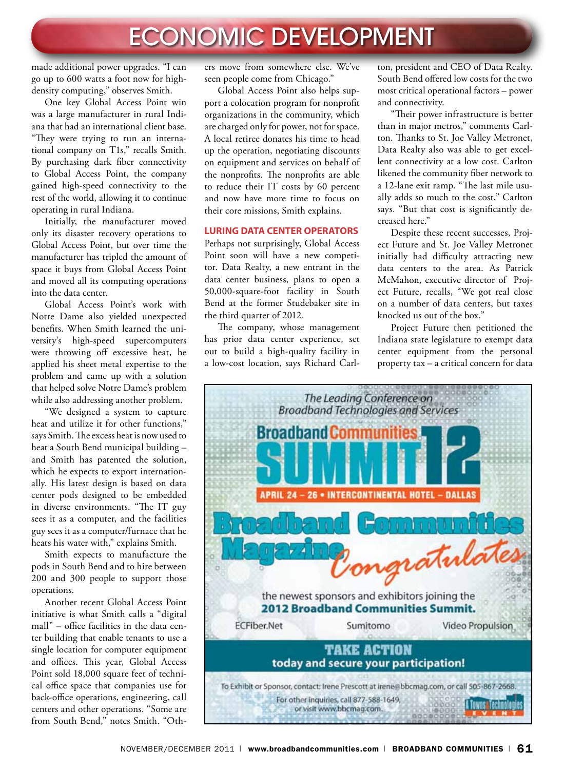## ECONOMIC DEVELOPMENT

made additional power upgrades. "I can go up to 600 watts a foot now for highdensity computing," observes Smith.

One key Global Access Point win was a large manufacturer in rural Indiana that had an international client base. "They were trying to run an international company on T1s," recalls Smith. By purchasing dark fiber connectivity to Global Access Point, the company gained high-speed connectivity to the rest of the world, allowing it to continue operating in rural Indiana.

Initially, the manufacturer moved only its disaster recovery operations to Global Access Point, but over time the manufacturer has tripled the amount of space it buys from Global Access Point and moved all its computing operations into the data center.

Global Access Point's work with Notre Dame also yielded unexpected benefits. When Smith learned the university's high-speed supercomputers were throwing off excessive heat, he applied his sheet metal expertise to the problem and came up with a solution that helped solve Notre Dame's problem while also addressing another problem.

"We designed a system to capture heat and utilize it for other functions," says Smith. The excess heat is now used to heat a South Bend municipal building – and Smith has patented the solution, which he expects to export internationally. His latest design is based on data center pods designed to be embedded in diverse environments. "The IT guy sees it as a computer, and the facilities guy sees it as a computer/furnace that he heats his water with," explains Smith.

Smith expects to manufacture the pods in South Bend and to hire between 200 and 300 people to support those operations.

Another recent Global Access Point initiative is what Smith calls a "digital mall" – office facilities in the data center building that enable tenants to use a single location for computer equipment and offices. This year, Global Access Point sold 18,000 square feet of technical office space that companies use for back-office operations, engineering, call centers and other operations. "Some are from South Bend," notes Smith. "Oth-

ers move from somewhere else. We've seen people come from Chicago."

Global Access Point also helps support a colocation program for nonprofit organizations in the community, which are charged only for power, not for space. A local retiree donates his time to head up the operation, negotiating discounts on equipment and services on behalf of the nonprofits. The nonprofits are able to reduce their IT costs by 60 percent and now have more time to focus on their core missions, Smith explains.

#### **Luring Data Center Operators**

Perhaps not surprisingly, Global Access Point soon will have a new competitor. Data Realty, a new entrant in the data center business, plans to open a 50,000-square-foot facility in South Bend at the former Studebaker site in the third quarter of 2012.

The company, whose management has prior data center experience, set out to build a high-quality facility in a low-cost location, says Richard Carlton, president and CEO of Data Realty. South Bend offered low costs for the two most critical operational factors – power and connectivity.

"Their power infrastructure is better than in major metros," comments Carlton. Thanks to St. Joe Valley Metronet, Data Realty also was able to get excellent connectivity at a low cost. Carlton likened the community fiber network to a 12-lane exit ramp. "The last mile usually adds so much to the cost," Carlton says. "But that cost is significantly decreased here."

Despite these recent successes, Project Future and St. Joe Valley Metronet initially had difficulty attracting new data centers to the area. As Patrick McMahon, executive director of Project Future, recalls, "We got real close on a number of data centers, but taxes knocked us out of the box."

Project Future then petitioned the Indiana state legislature to exempt data center equipment from the personal property tax – a critical concern for data

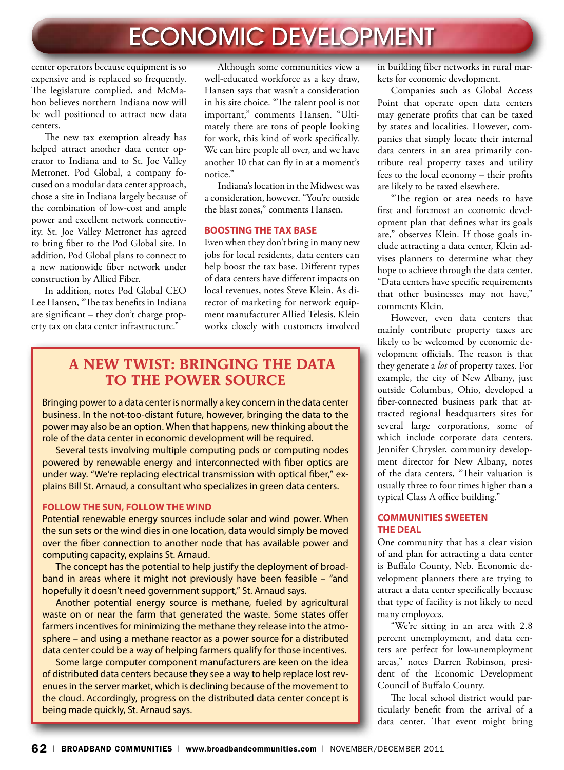### ECONOMIC DEVELOPMENT

center operators because equipment is so expensive and is replaced so frequently. The legislature complied, and McMahon believes northern Indiana now will be well positioned to attract new data centers.

The new tax exemption already has helped attract another data center operator to Indiana and to St. Joe Valley Metronet. Pod Global, a company focused on a modular data center approach, chose a site in Indiana largely because of the combination of low-cost and ample power and excellent network connectivity. St. Joe Valley Metronet has agreed to bring fiber to the Pod Global site. In addition, Pod Global plans to connect to a new nationwide fiber network under construction by Allied Fiber.

In addition, notes Pod Global CEO Lee Hansen, "The tax benefits in Indiana are significant – they don't charge property tax on data center infrastructure."

Although some communities view a well-educated workforce as a key draw, Hansen says that wasn't a consideration in his site choice. "The talent pool is not important," comments Hansen. "Ultimately there are tons of people looking for work, this kind of work specifically. We can hire people all over, and we have another 10 that can fly in at a moment's notice."

Indiana's location in the Midwest was a consideration, however. "You're outside the blast zones," comments Hansen.

#### **Boosting the Tax Base**

Even when they don't bring in many new jobs for local residents, data centers can help boost the tax base. Different types of data centers have different impacts on local revenues, notes Steve Klein. As director of marketing for network equipment manufacturer Allied Telesis, Klein works closely with customers involved

### **A New Twist: Bringing the Data to the Power Source**

Bringing power to a data center is normally a key concern in the data center business. In the not-too-distant future, however, bringing the data to the power may also be an option. When that happens, new thinking about the role of the data center in economic development will be required.

Several tests involving multiple computing pods or computing nodes powered by renewable energy and interconnected with fiber optics are under way. "We're replacing electrical transmission with optical fiber," explains Bill St. Arnaud, a consultant who specializes in green data centers.

#### **FOLLOW THE SUN, FOLLOW THE WIND**

Potential renewable energy sources include solar and wind power. When the sun sets or the wind dies in one location, data would simply be moved over the fiber connection to another node that has available power and computing capacity, explains St. Arnaud.

The concept has the potential to help justify the deployment of broadband in areas where it might not previously have been feasible – "and hopefully it doesn't need government support," St. Arnaud says.

Another potential energy source is methane, fueled by agricultural waste on or near the farm that generated the waste. Some states offer farmers incentives for minimizing the methane they release into the atmosphere – and using a methane reactor as a power source for a distributed data center could be a way of helping farmers qualify for those incentives.

Some large computer component manufacturers are keen on the idea of distributed data centers because they see a way to help replace lost revenues in the server market, which is declining because of the movement to the cloud. Accordingly, progress on the distributed data center concept is being made quickly, St. Arnaud says.

in building fiber networks in rural markets for economic development.

Companies such as Global Access Point that operate open data centers may generate profits that can be taxed by states and localities. However, companies that simply locate their internal data centers in an area primarily contribute real property taxes and utility fees to the local economy – their profits are likely to be taxed elsewhere.

"The region or area needs to have first and foremost an economic development plan that defines what its goals are," observes Klein. If those goals include attracting a data center, Klein advises planners to determine what they hope to achieve through the data center. "Data centers have specific requirements that other businesses may not have," comments Klein.

However, even data centers that mainly contribute property taxes are likely to be welcomed by economic development officials. The reason is that they generate a *lot* of property taxes. For example, the city of New Albany, just outside Columbus, Ohio, developed a fiber-connected business park that attracted regional headquarters sites for several large corporations, some of which include corporate data centers. Jennifer Chrysler, community development director for New Albany, notes of the data centers, "Their valuation is usually three to four times higher than a typical Class A office building."

#### **Communities Sweeten the Deal**

One community that has a clear vision of and plan for attracting a data center is Buffalo County, Neb. Economic development planners there are trying to attract a data center specifically because that type of facility is not likely to need many employees.

"We're sitting in an area with 2.8 percent unemployment, and data centers are perfect for low-unemployment areas," notes Darren Robinson, president of the Economic Development Council of Buffalo County.

The local school district would particularly benefit from the arrival of a data center. That event might bring